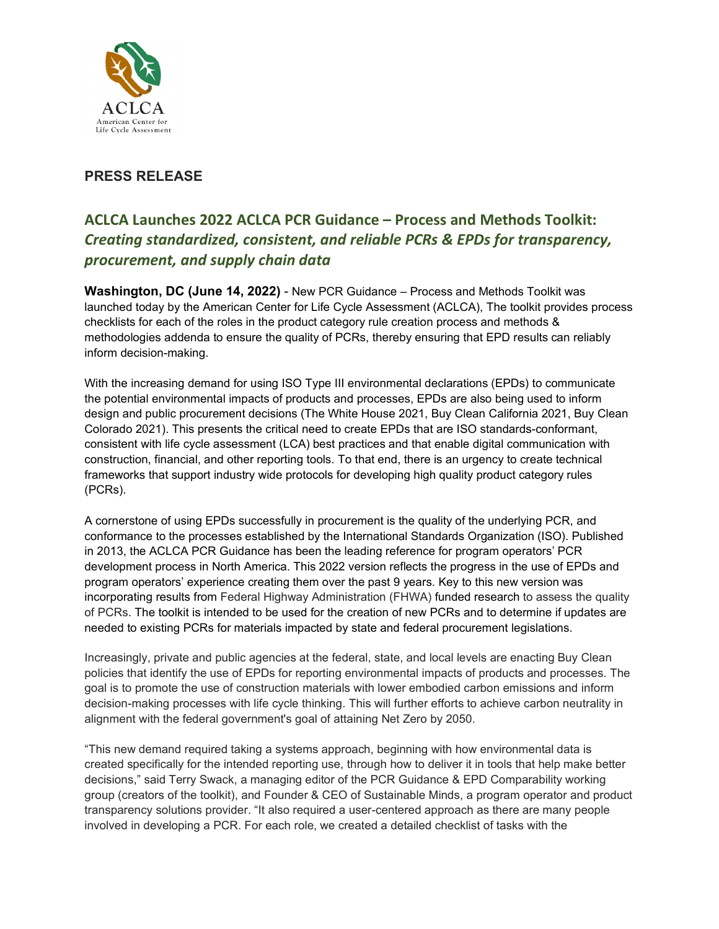

## **PRESS RELEASE**

## **ACLCA Launches 2022 ACLCA PCR Guidance – Process and Methods Toolkit:** *Creating standardized, consistent, and reliable PCRs & EPDs for transparency, procurement, and supply chain data*

**Washington, DC (June 14, 2022)** - New PCR Guidance – Process and Methods Toolkit was launched today by the American Center for Life Cycle Assessment (ACLCA), The toolkit provides process checklists for each of the roles in the product category rule creation process and methods & methodologies addenda to ensure the quality of PCRs, thereby ensuring that EPD results can reliably inform decision-making.

With the increasing demand for using ISO Type III environmental declarations (EPDs) to communicate the potential environmental impacts of products and processes, EPDs are also being used to inform design and public procurement decisions (The White House 2021, Buy Clean California 2021, Buy Clean Colorado 2021). This presents the critical need to create EPDs that are ISO standards-conformant, consistent with life cycle assessment (LCA) best practices and that enable digital communication with construction, financial, and other reporting tools. To that end, there is an urgency to create technical frameworks that support industry wide protocols for developing high quality product category rules (PCRs).

A cornerstone of using EPDs successfully in procurement is the quality of the underlying PCR, and conformance to the processes established by the International Standards Organization (ISO). Published in 2013, the ACLCA PCR Guidance has been the leading reference for program operators' PCR development process in North America. This 2022 version reflects the progress in the use of EPDs and program operators' experience creating them over the past 9 years. Key to this new version was incorporating results from Federal Highway Administration (FHWA) funded research to assess the quality of PCRs. The toolkit is intended to be used for the creation of new PCRs and to determine if updates are needed to existing PCRs for materials impacted by state and federal procurement legislations.

Increasingly, private and public agencies at the federal, state, and local levels are enacting Buy Clean policies that identify the use of EPDs for reporting environmental impacts of products and processes. The goal is to promote the use of construction materials with lower embodied carbon emissions and inform decision-making processes with life cycle thinking. This will further efforts to achieve carbon neutrality in alignment with the federal government's goal of attaining Net Zero by 2050.

"This new demand required taking a systems approach, beginning with how environmental data is created specifically for the intended reporting use, through how to deliver it in tools that help make better decisions," said Terry Swack, a managing editor of the PCR Guidance & EPD Comparability working group (creators of the toolkit), and Founder & CEO of Sustainable Minds, a program operator and product transparency solutions provider. "It also required a user-centered approach as there are many people involved in developing a PCR. For each role, we created a detailed checklist of tasks with the